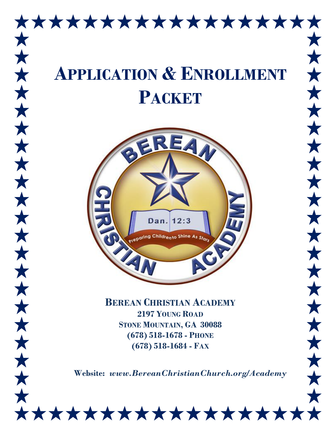

\*\*\*\*\*\*\*\*\*\*\*\*\*\*\*\*\*\*

 $\bigstar$ 

 $\bigstar$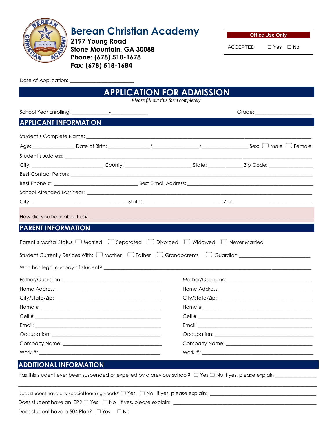

# **Berean Christian Academy**

**2197 Young Road Stone Mountain, GA 30088 Phone: (678) 518-1678 Fax: (678) 518-1684**

| <b>Office Use Only</b> |            |  |  |  |  |
|------------------------|------------|--|--|--|--|
| <b>ACCEPTED</b>        | ⊟ Yes ⊟ No |  |  |  |  |

Date of Application:

|                                                                                                                                                                                                                                |                                       | <b>APPLICATION FOR ADMISSION</b> |                                                                                                                             |
|--------------------------------------------------------------------------------------------------------------------------------------------------------------------------------------------------------------------------------|---------------------------------------|----------------------------------|-----------------------------------------------------------------------------------------------------------------------------|
|                                                                                                                                                                                                                                | Please fill out this form completely. |                                  |                                                                                                                             |
|                                                                                                                                                                                                                                |                                       |                                  |                                                                                                                             |
| <b>APPLICANT INFORMATION</b>                                                                                                                                                                                                   |                                       |                                  |                                                                                                                             |
|                                                                                                                                                                                                                                |                                       |                                  |                                                                                                                             |
|                                                                                                                                                                                                                                |                                       |                                  |                                                                                                                             |
|                                                                                                                                                                                                                                |                                       |                                  |                                                                                                                             |
|                                                                                                                                                                                                                                |                                       |                                  |                                                                                                                             |
|                                                                                                                                                                                                                                |                                       |                                  |                                                                                                                             |
|                                                                                                                                                                                                                                |                                       |                                  |                                                                                                                             |
|                                                                                                                                                                                                                                |                                       |                                  |                                                                                                                             |
|                                                                                                                                                                                                                                |                                       |                                  |                                                                                                                             |
|                                                                                                                                                                                                                                |                                       |                                  |                                                                                                                             |
|                                                                                                                                                                                                                                |                                       |                                  |                                                                                                                             |
| <b>PARENT INFORMATION</b><br>Parent's Marital Status: $\Box$ Married $\Box$ Separated $\Box$ Divorced $\Box$ Widowed $\Box$ Never Married                                                                                      |                                       |                                  |                                                                                                                             |
|                                                                                                                                                                                                                                |                                       |                                  |                                                                                                                             |
|                                                                                                                                                                                                                                |                                       |                                  | Student Currently Resides With: $\Box$ Mother $\Box$ Father $\Box$ Grandparents $\Box$ Guardian $\Box$ $\Box$ $\Box$ $\Box$ |
|                                                                                                                                                                                                                                |                                       |                                  |                                                                                                                             |
|                                                                                                                                                                                                                                |                                       |                                  |                                                                                                                             |
|                                                                                                                                                                                                                                |                                       |                                  |                                                                                                                             |
|                                                                                                                                                                                                                                |                                       |                                  |                                                                                                                             |
| Email: Email: All and the state of the state of the state of the state of the state of the state of the state of the state of the state of the state of the state of the state of the state of the state of the state of the s |                                       |                                  |                                                                                                                             |
|                                                                                                                                                                                                                                |                                       |                                  |                                                                                                                             |
| Company Name: Name and Company Name and Company Name and Company Name and Company Name and Company of the Company of the Company of the Company of the Company of the Company of the Company of the Company of the Company of  |                                       |                                  |                                                                                                                             |
|                                                                                                                                                                                                                                |                                       |                                  |                                                                                                                             |
| <b>ADDITIONAL INFORMATION</b>                                                                                                                                                                                                  |                                       |                                  |                                                                                                                             |

\_\_\_\_\_\_\_\_\_\_\_\_\_\_\_\_\_\_\_\_\_\_\_\_\_\_\_\_\_\_\_\_\_\_\_\_\_\_\_\_\_\_\_\_\_\_\_\_\_\_\_\_\_\_\_\_\_\_\_\_\_\_\_\_\_\_\_\_\_\_\_\_\_\_\_\_\_\_\_\_\_\_\_\_\_\_\_\_\_\_\_\_\_\_\_\_\_\_\_\_\_\_\_\_\_\_\_\_\_\_\_\_\_\_\_\_\_\_\_\_\_

Does student have any special learning needs?  $\Box$  Yes  $\Box$  No If yes, please explain:  $\Box$ 

Does student have an IEP? Yes No If yes, please explain: \_\_\_\_\_\_\_\_\_\_\_\_\_\_\_\_\_\_\_\_\_\_\_\_\_\_\_\_\_\_\_\_\_\_\_\_\_\_\_\_\_\_\_\_\_\_\_\_\_\_\_\_\_\_\_\_\_\_

Does student have a 504 Plan?  $\Box$  Yes  $\Box$  No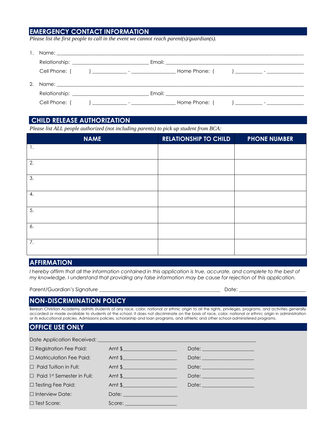## **EMERGENCY CONTACT INFORMATION**

*Please list the first people to call in the event we cannot reach parent(s)/guardian(s).*

|             | Relationship: Network and the contract of the contract of the contract of the contract of the contract of the contract of the contract of the contract of the contract of the contract of the contract of the contract of the  |                                                                                                                                               |  |                                                                                                                                                                                                                                |                                                                                                                                                                                                                                                                                                                                    |
|-------------|--------------------------------------------------------------------------------------------------------------------------------------------------------------------------------------------------------------------------------|-----------------------------------------------------------------------------------------------------------------------------------------------|--|--------------------------------------------------------------------------------------------------------------------------------------------------------------------------------------------------------------------------------|------------------------------------------------------------------------------------------------------------------------------------------------------------------------------------------------------------------------------------------------------------------------------------------------------------------------------------|
|             | Cell Phone: (                                                                                                                                                                                                                  | $\overline{a}$ and $\overline{a}$ are the contract of $\overline{a}$ and $\overline{a}$ and $\overline{a}$ are the contract of $\overline{a}$ |  |                                                                                                                                                                                                                                |                                                                                                                                                                                                                                                                                                                                    |
| $2^{\circ}$ |                                                                                                                                                                                                                                |                                                                                                                                               |  |                                                                                                                                                                                                                                |                                                                                                                                                                                                                                                                                                                                    |
|             | Relationship: Network and the second state of the second state of the second state of the second state of the second state of the second state of the second state of the second state of the second state of the second state |                                                                                                                                               |  | Email: Email: All and the state of the state of the state of the state of the state of the state of the state of the state of the state of the state of the state of the state of the state of the state of the state of the s |                                                                                                                                                                                                                                                                                                                                    |
|             | Cell Phone:                                                                                                                                                                                                                    | 100 - Antonio Alemania (1985), Antonio Alemania (1986)                                                                                        |  | Home Phone:                                                                                                                                                                                                                    | $\overline{a}$ and $\overline{a}$ and $\overline{a}$ and $\overline{a}$ and $\overline{a}$ and $\overline{a}$ and $\overline{a}$ and $\overline{a}$ and $\overline{a}$ and $\overline{a}$ and $\overline{a}$ and $\overline{a}$ and $\overline{a}$ and $\overline{a}$ and $\overline{a}$ and $\overline{a}$ and $\overline{a}$ and |

### **CHILD RELEASE AUTHORIZATION**

*Please list ALL people authorized (not including parents) to pick up student from BCA:* 

| <b>NAME</b> | <b>RELATIONSHIP TO CHILD</b> | <b>PHONE NUMBER</b> |
|-------------|------------------------------|---------------------|
| 1.          |                              |                     |
| 2.          |                              |                     |
| 3.          |                              |                     |
| 4.          |                              |                     |
| 5.          |                              |                     |
| 6.          |                              |                     |
| 7.          |                              |                     |

## **AFFIRMATION**

I hereby affirm that all the information contained in this application is true, accurate, and complete to the best of *my knowledge. I understand that providing any false information may be cause for rejection of this application.*

Parent/Guardian's Signature \_

| ı |     |  |  |
|---|-----|--|--|
|   | лат |  |  |

### **NON-DISCRIMINATION POLICY**

Berean Christian Academy admits students of any race, color, national or ethnic origin to all the rights, privileges, programs, and activities generally accorded or made available to students at the school. It does not discriminate on the basis of race, color, national or ethnic origin in administration or its educational policies. Admissions policies, scholarship and loan programs, and athletic and other school-administered programs.

### **OFFICE USE ONLY**

| $\Box$ Registration Fee Paid:     | Amt \$                              | Date: <u>______________________</u> |
|-----------------------------------|-------------------------------------|-------------------------------------|
| $\Box$ Matriculation Fee Paid:    | Amt $\frac{1}{2}$                   | Date: _____________________         |
| $\Box$ Paid Tuition in Full:      | Amt $\frac{1}{2}$                   |                                     |
| $\Box$ Paid 1st Semester in Full: | Amt $\frac{1}{2}$                   | Date: _____________________         |
| $\Box$ Testing Fee Paid:          | Amt $\frac{1}{2}$                   | Date: _____________________         |
| $\Box$ Interview Date:            | Date: <u>______________________</u> |                                     |
| $\Box$ Test Score:                | Score:                              |                                     |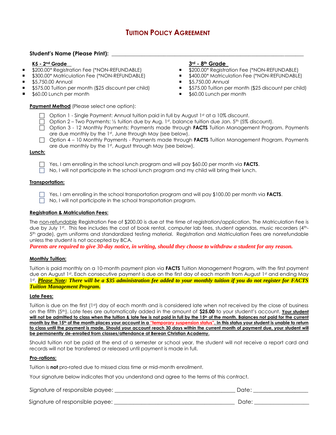## **TUITION POLICY AGREEMENT**

### **Student's Name (Please Print): \_\_\_\_\_\_\_\_\_\_\_\_\_\_\_\_\_\_\_\_\_\_\_\_\_\_\_\_\_\_\_\_\_\_\_\_\_\_\_\_\_\_\_\_\_\_\_\_\_\_\_\_\_\_\_\_\_\_\_\_\_\_\_\_\_\_\_\_\_\_**

### **K5 - 2nd Grade**

- **5200.00\* Registration Fee (\*NON-REFUNDABLE)**
- **5300.00\*** Matriculation Fee (\*NON-REFUNDABLE)
- **55,750.00 Annual**
- **5575.00 Tuition per month (\$25 discount per child)**
- \$60.00 Lunch per month

### **Payment Method** (Please select one option):

## **3rd - 8th Grade**

- 
- **5200.00\* Registration Fee (\*NON-REFUNDABLE)**<br>5400.00\* Matriculation Fee (\*NON-REFUNDABLE \$400.00\* Matriculation Fee (\*NON-REFUNDABLE)
- **55,750.00 Annual**
- **5575.00 Tuition per month (\$25 discount per child)**
- \$60.00 Lunch per month
- $\Box$  Option 1 Single Payment: Annual tuition paid in full by August 1st at a 10% discount.
- $\Box$  Option 2 Two Payments: 1/2 tuition due by Aug. 1st, balance tuition due Jan. 5th (5% discount).
- Option 3 12 Monthly Payments: Payments made through **FACTS** Tuition Management Program. Payments are due monthly by the 1st, June through May (see below).
- Option 4 10 Monthly Payments Payments made through **FACTS** Tuition Management Program. Payments are due monthly by the 1st, August through May (see below).

### **Lunch:**

- Yes, I am enrolling in the school lunch program and will pay \$60.00 per month via **FACTS**.
- $\Box$  No, I will not participate in the school lunch program and my child will bring their lunch.

### **Transportation:**

Yes, I am enrolling in the school transportation program and will pay \$100.00 per month via **FACTS**.

No, I will not participate in the school transportation program.

### **Registration & Matriculation Fees:**

The non-refundable Registration Fee of \$200.00 is due at the time of registration/application. The Matriculation Fee is due by July 1st. This fee includes the cost of book rental, computer lab fees, student agendas, music recorders (4th-5 th grade), gym uniforms and standardized testing material. Registration and Matriculation Fees are nonrefundable unless the student is not accepted by BCA.

*Parents are required to give 30-day notice, in writing, should they choose to withdraw a student for any reason.*

### **Monthly Tuition:**

Tuition is paid monthly on a 10-month payment plan via **FACTS** Tuition Management Program, with the first payment due on August 1st. Each consecutive payment is due on the first day of each month from August 1st and ending May 1 st . *Please Note: There will be a \$35 administration fee added to your monthly tuition if you do not register for FACTS Tuition Management Program.*

### **Late Fees:**

Tuition is due on the first (1st) day of each month and is considered late when not received by the close of business on the fifth (5th). Late fees are automatically added in the amount of **\$25.00** to your student's account. **Your student**  will not be admitted to class when the tuition & late fee is not paid in full by the 15<sup>th</sup> of the month. Balances not paid for the current **month by the 15th of the month places your account in a "temporary suspension status". In this status your student is unable to return to class until the payment is made. Should your account reach 30 days within the current month of payment due, your student will be permanently de-enrolled from classes/attendance at Berean Christian Academy.**

Should tuition not be paid at the end of a semester or school year, the student will not receive a report card and records will not be transferred or released until payment is made in full.

### **Pro-rations:**

Tuition is **not** pro-rated due to missed class time or mid-month enrollment.

Your signature below indicates that you understand and agree to the terms of this contract.

| Signature of responsible payee: | Date |
|---------------------------------|------|
|                                 |      |

Signature of responsible payee: \_\_\_\_\_\_\_\_\_\_\_\_\_\_\_\_\_\_\_\_\_\_\_\_\_\_\_\_\_\_\_\_\_\_\_\_\_\_\_\_\_\_\_\_ Date: \_\_\_\_\_\_\_\_\_\_\_\_\_\_\_\_\_\_\_\_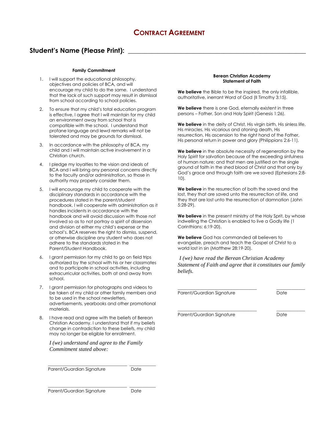## **Student's Name (Please Print): \_\_\_\_\_\_\_\_\_\_\_\_\_\_\_\_\_\_\_\_\_\_\_\_\_\_\_\_\_\_\_\_\_\_\_\_\_\_\_\_\_\_\_\_\_\_\_\_\_\_\_\_\_\_**

### **Family Commitment**

- 1. I will support the educational philosophy, objectives and policies of BCA, and will encourage my child to do the same. I understand that the lack of such support may result in dismissal from school according to school policies.
- 2. To ensure that my child's total education program is effective, I agree that I will maintain for my child an environment away from school that is compatible with the school. I understand that profane language and lewd remarks will not be tolerated and may be grounds for dismissal.
- 3. In accordance with the philosophy of BCA, my child and I will maintain active involvement in a Christian church.
- 4. I pledge my loyalties to the vision and ideals of BCA and I will bring any personal concerns directly to the faculty and/or administration, so those in authority may properly consider them.
- 5. I will encourage my child to cooperate with the disciplinary standards in accordance with the procedures stated in the parent/student handbook. I will cooperate with administration as it handles incidents in accordance with the handbook and will avoid discussion with those not involved so as to not portray a spirit of dissension and division at either my child's expense or the school's. BCA reserves the right to dismiss, suspend, or otherwise discipline any student who does not adhere to the standards stated in the Parent/Student Handbook.
- 6. I grant permission for my child to go on field trips authorized by the school with his or her classmates and to participate in school activities, including extracurricular activities, both at and away from school.
- 7. I grant permission for photographs and videos to be taken of my child or other family members and to be used in the school newsletters, advertisements, yearbooks and other promotional materials.
- I have read and agree with the beliefs of Berean Christian Academy. I understand that if my beliefs change in contradiction to these beliefs, my child may no longer be eligible for enrollment.

*I (we) understand and agree to the Family Commitment stated above:*

 $\frac{1}{2}$  ,  $\frac{1}{2}$  ,  $\frac{1}{2}$  ,  $\frac{1}{2}$  ,  $\frac{1}{2}$  ,  $\frac{1}{2}$  ,  $\frac{1}{2}$  ,  $\frac{1}{2}$  ,  $\frac{1}{2}$  ,  $\frac{1}{2}$  ,  $\frac{1}{2}$  ,  $\frac{1}{2}$  ,  $\frac{1}{2}$  ,  $\frac{1}{2}$  ,  $\frac{1}{2}$  ,  $\frac{1}{2}$  ,  $\frac{1}{2}$  ,  $\frac{1}{2}$  ,  $\frac{1$ 

 $\mathcal{L}=\{\mathcal{L}^{\mathcal{L}}\}_{\mathcal{L}}$  , where  $\mathcal{L}^{\mathcal{L}}$  , where  $\mathcal{L}^{\mathcal{L}}$  ,  $\mathcal{L}^{\mathcal{L}}$  ,  $\mathcal{L}^{\mathcal{L}}$  ,  $\mathcal{L}^{\mathcal{L}}$  ,  $\mathcal{L}^{\mathcal{L}}$  ,  $\mathcal{L}^{\mathcal{L}}$  ,  $\mathcal{L}^{\mathcal{L}}$  ,  $\mathcal{L}^{\mathcal{L}}$  ,  $\mathcal{L}^{\mathcal{L}}$ 

Parent/Guardian Signature Date

### Parent/Guardian Signature **Date**

### **Berean Christian Academy Statement of Faith**

**We believe** the Bible to be the inspired, the only infallible, authoritative, inerrant Word of God (II Timothy 3:15).

**We believe** there is one God, eternally existent in three persons – Father, Son and Holy Spirit (Genesis 1:26).

**We believe** in the deity of Christ, His virgin birth, His sinless life, His miracles, His vicarious and atoning death, His resurrection, His ascension to the right hand of the Father, His personal return in power and glory (Philippians 2:6-11).

**We believe** in the absolute necessity of regeneration by the Holy Spirit for salvation because of the exceeding sinfulness of human nature; and that men are justified on the single ground of faith in the shed blood of Christ and that only by God's grace and through faith are we saved (Ephesians 2:8- 10).

**We believe** in the resurrection of both the saved and the lost, they that are saved unto the resurrection of life, and they that are lost unto the resurrection of damnation (John 5:28-29).

**We believe** in the present ministry of the Holy Sprit, by whose indwelling the Christian is enabled to live a Godly life (1 Corinthians: 6:19-20).

**We believe** God has commanded all believers to evangelize, preach and teach the Gospel of Christ to a world lost in sin (Matthew 28:19-20).

*I (we) have read the Berean Christian Academy Statement of Faith and agree that it constitutes our family beliefs.*

Parent/Guardian Signature **Date** Date

 $\_$  , and the set of the set of the set of the set of the set of the set of the set of the set of the set of the set of the set of the set of the set of the set of the set of the set of the set of the set of the set of th

 $\_$  . The contribution of the contribution of  $\mathcal{L}_\mathcal{A}$ Parent/Guardian Signature **Date** Date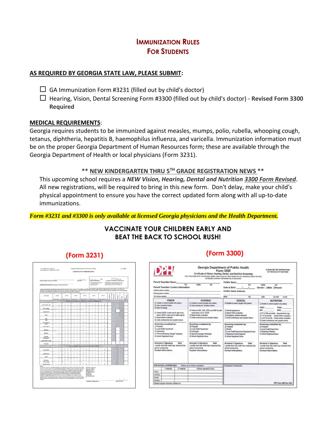## **IMMUNIZATION RULES FOR STUDENTS**

### **AS REQUIRED BY GEORGIA STATE LAW, PLEASE SUBMIT:**

 $\Box$  GA Immunization Form #3231 (filled out by child's doctor)

 Hearing, Vision, Dental Screening Form #3300 (filled out by child's doctor) - **Revised Form 3300 Required**

### **MEDICAL REQUIREMENTS**:

Georgia requires students to be immunized against measles, mumps, polio, rubella, whooping cough, tetanus, diphtheria, hepatitis B, haemophilus influenza, and varicella. Immunization information must be on the proper Georgia Department of Human Resources form; these are available through the Georgia Department of Health or local physicians (Form 3231).

### **\*\* NEW KINDERGARTEN THRU 5TH GRADE REGISTRATION NEWS \*\***

This upcoming school requires a *NEW Vision, Hearing, Dental and Nutrition 3300 Form Revised*. All new registrations, will be required to bring in this new form. Don't delay, make your child's physical appointment to ensure you have the correct updated form along with all up-to-date immunizations.

*Form #3231 and #3300 is only available at licensed Georgia physicians and the Health Department.*

## **VACCINATE YOUR CHILDREN EARLY AND BEAT THE BACK TO SCHOOL RUSH!**

| Chris's Name (Last name firet)                                                                                                                                                                                                                                                                                                                                                                                                                                                                                                                                                                                                                                                                                                                                                                                                                                                                                                                                                                 |      |                                                                       | <b>Standard Adams</b>                                 |                               | Data of Expiration                                                                               | ow   |   | (2511.30)                                                                          | Complete For School Attendance |  |
|------------------------------------------------------------------------------------------------------------------------------------------------------------------------------------------------------------------------------------------------------------------------------------------------------------------------------------------------------------------------------------------------------------------------------------------------------------------------------------------------------------------------------------------------------------------------------------------------------------------------------------------------------------------------------------------------------------------------------------------------------------------------------------------------------------------------------------------------------------------------------------------------------------------------------------------------------------------------------------------------|------|-----------------------------------------------------------------------|-------------------------------------------------------|-------------------------------|--------------------------------------------------------------------------------------------------|------|---|------------------------------------------------------------------------------------|--------------------------------|--|
| (Optissed) Parent/Ouandian Name (Last name first)                                                                                                                                                                                                                                                                                                                                                                                                                                                                                                                                                                                                                                                                                                                                                                                                                                                                                                                                              |      |                                                                       |                                                       |                               | <b>Basi resultat la surrigioni</b><br>arrantee of medium<br>assemble due )                       |      |   | Child must be a 4 years and have met all<br>ingstrenum für aufend allemänische The |                                |  |
| Unless specifically exempted by law, Georgia law (O.C.G.A. 5 20-2-771) requires a certificate on file for each child in attendance in any achoal ar child care.<br>facility in Georgia with peration for follow to comply. Detailed instructions for this form and innocelesties requirements by age are apathed out in policy guides<br>3231748 and 3231REQ distributed by the Georgia Immunization Program.                                                                                                                                                                                                                                                                                                                                                                                                                                                                                                                                                                                  |      |                                                                       |                                                       |                               |                                                                                                  |      |   |                                                                                    |                                |  |
| <b>VACCINE</b>                                                                                                                                                                                                                                                                                                                                                                                                                                                                                                                                                                                                                                                                                                                                                                                                                                                                                                                                                                                 | DATE | DATE                                                                  | DATE                                                  | <b>DATE</b>                   | DATE                                                                                             | DATE |   |                                                                                    |                                |  |
|                                                                                                                                                                                                                                                                                                                                                                                                                                                                                                                                                                                                                                                                                                                                                                                                                                                                                                                                                                                                |      | wilco I w has loo I w has loo I w has loo I w last co I w has loo I w |                                                       |                               |                                                                                                  |      | š |                                                                                    |                                |  |
|                                                                                                                                                                                                                                                                                                                                                                                                                                                                                                                                                                                                                                                                                                                                                                                                                                                                                                                                                                                                |      |                                                                       | Required Vaccines for School or Child Care Attendance |                               |                                                                                                  |      |   |                                                                                    |                                |  |
| GTP, DTaP, DT                                                                                                                                                                                                                                                                                                                                                                                                                                                                                                                                                                                                                                                                                                                                                                                                                                                                                                                                                                                  |      |                                                                       |                                                       |                               |                                                                                                  |      |   |                                                                                    |                                |  |
| Td or Tdup                                                                                                                                                                                                                                                                                                                                                                                                                                                                                                                                                                                                                                                                                                                                                                                                                                                                                                                                                                                     |      |                                                                       |                                                       |                               |                                                                                                  |      |   |                                                                                    |                                |  |
| <b>Hepatitis B</b>                                                                                                                                                                                                                                                                                                                                                                                                                                                                                                                                                                                                                                                                                                                                                                                                                                                                                                                                                                             |      |                                                                       |                                                       |                               |                                                                                                  |      |   |                                                                                    |                                |  |
| ory                                                                                                                                                                                                                                                                                                                                                                                                                                                                                                                                                                                                                                                                                                                                                                                                                                                                                                                                                                                            |      |                                                                       |                                                       |                               |                                                                                                  |      |   |                                                                                    |                                |  |
| <b>IPV</b>                                                                                                                                                                                                                                                                                                                                                                                                                                                                                                                                                                                                                                                                                                                                                                                                                                                                                                                                                                                     |      |                                                                       |                                                       |                               |                                                                                                  |      |   |                                                                                    |                                |  |
| <b>Hill</b>                                                                                                                                                                                                                                                                                                                                                                                                                                                                                                                                                                                                                                                                                                                                                                                                                                                                                                                                                                                    |      |                                                                       |                                                       |                               |                                                                                                  |      |   |                                                                                    |                                |  |
| <b>Eliminer Age N</b><br>PCV                                                                                                                                                                                                                                                                                                                                                                                                                                                                                                                                                                                                                                                                                                                                                                                                                                                                                                                                                                   |      |                                                                       |                                                       |                               |                                                                                                  |      |   |                                                                                    |                                |  |
| <b>Elminn Age 16</b>                                                                                                                                                                                                                                                                                                                                                                                                                                                                                                                                                                                                                                                                                                                                                                                                                                                                                                                                                                           |      |                                                                       |                                                       |                               |                                                                                                  |      |   |                                                                                    |                                |  |
| Member                                                                                                                                                                                                                                                                                                                                                                                                                                                                                                                                                                                                                                                                                                                                                                                                                                                                                                                                                                                         |      |                                                                       |                                                       |                               |                                                                                                  |      |   |                                                                                    |                                |  |
| Mumps                                                                                                                                                                                                                                                                                                                                                                                                                                                                                                                                                                                                                                                                                                                                                                                                                                                                                                                                                                                          |      |                                                                       |                                                       |                               |                                                                                                  |      |   |                                                                                    |                                |  |
| Rubella<br><b>Hepatitis A</b>                                                                                                                                                                                                                                                                                                                                                                                                                                                                                                                                                                                                                                                                                                                                                                                                                                                                                                                                                                  |      |                                                                       |                                                       |                               |                                                                                                  |      |   |                                                                                    |                                |  |
| (Barn osletter VVRE)                                                                                                                                                                                                                                                                                                                                                                                                                                                                                                                                                                                                                                                                                                                                                                                                                                                                                                                                                                           |      |                                                                       |                                                       |                               |                                                                                                  |      |   |                                                                                    |                                |  |
| <b>Varioutis</b>                                                                                                                                                                                                                                                                                                                                                                                                                                                                                                                                                                                                                                                                                                                                                                                                                                                                                                                                                                               |      |                                                                       |                                                       |                               |                                                                                                  |      |   |                                                                                    |                                |  |
|                                                                                                                                                                                                                                                                                                                                                                                                                                                                                                                                                                                                                                                                                                                                                                                                                                                                                                                                                                                                |      |                                                                       | Recommended Vaccines (For Information Only)           |                               |                                                                                                  |      |   |                                                                                    |                                |  |
| MCV/MPSV.                                                                                                                                                                                                                                                                                                                                                                                                                                                                                                                                                                                                                                                                                                                                                                                                                                                                                                                                                                                      |      |                                                                       |                                                       |                               |                                                                                                  |      |   |                                                                                    |                                |  |
| Retexings                                                                                                                                                                                                                                                                                                                                                                                                                                                                                                                                                                                                                                                                                                                                                                                                                                                                                                                                                                                      |      |                                                                       |                                                       |                               |                                                                                                  |      |   |                                                                                    |                                |  |
| <b>ASPSC</b>                                                                                                                                                                                                                                                                                                                                                                                                                                                                                                                                                                                                                                                                                                                                                                                                                                                                                                                                                                                   |      |                                                                       |                                                       |                               |                                                                                                  |      |   |                                                                                    |                                |  |
| leffuenza                                                                                                                                                                                                                                                                                                                                                                                                                                                                                                                                                                                                                                                                                                                                                                                                                                                                                                                                                                                      |      |                                                                       |                                                       |                               |                                                                                                  |      |   |                                                                                    |                                |  |
| Td or Tdsp                                                                                                                                                                                                                                                                                                                                                                                                                                                                                                                                                                                                                                                                                                                                                                                                                                                                                                                                                                                     |      |                                                                       |                                                       |                               |                                                                                                  |      |   |                                                                                    |                                |  |
| (Booster Done)<br>National.                                                                                                                                                                                                                                                                                                                                                                                                                                                                                                                                                                                                                                                                                                                                                                                                                                                                                                                                                                    |      |                                                                       |                                                       |                               |                                                                                                  |      |   |                                                                                    |                                |  |
| A highway should be or qualified employee of a legal Quant of Highly or the Data Francoissillan<br>Program to resource for the content of this certificate. All dates must include month, day and<br>year. In cases of natural increasity or Medical Exemption, the 4 digit year of infantism, test or<br>except on must be filled in to the appropriate box(m). The contificate is NOT walks without<br>mone and airchain of the child, dots of expiration OR "X" in Consiste for School<br>Attendance bax, legible roote and address of the physician or health department.<br>certified by eignature and a dide of losse. A tohol or finitly of bial is responsible for<br>keeping a current valid certificate on the for senit child in prendence. A certificate must be<br>replaced with 10 days after exploiter. When a shirt homes or transfers to another facility.<br>the Cortificate of revealersation aboutly be given by a parent/gasersfun or vent to the new<br><b>Facility.</b> |      |                                                                       |                                                       | Licensed<br><b>Physiolene</b> | Printed, Typed or<br><b>Storaged Manue</b> ,<br>Address and<br>Telephone # of<br>ar Health Dept. | ÷    |   |                                                                                    |                                |  |

## **(Form 3231) (Form 3300)**

| Parent/ Guardian Name:                                                                                                                                                                                                                                                  |                                                                                                                                                     | Child's Name:                                                                                                                                                                                     |                                                                                                                                                                                                                                                                 |
|-------------------------------------------------------------------------------------------------------------------------------------------------------------------------------------------------------------------------------------------------------------------------|-----------------------------------------------------------------------------------------------------------------------------------------------------|---------------------------------------------------------------------------------------------------------------------------------------------------------------------------------------------------|-----------------------------------------------------------------------------------------------------------------------------------------------------------------------------------------------------------------------------------------------------------------|
| feet                                                                                                                                                                                                                                                                    | middle<br>last                                                                                                                                      | first                                                                                                                                                                                             | middle<br>last                                                                                                                                                                                                                                                  |
| Parent/ Guardian Contact Information:<br>Daytime phone number; https://www.com/communications/communications/communications/communications/communications/communications/communications/communications/communications/communications/communications/communications/comm |                                                                                                                                                     | Date of Birth: / /                                                                                                                                                                                | Gender: OMale OFemale                                                                                                                                                                                                                                           |
| Evening phone number; https://www.com/communications.com/communications.com/communications.com/communications.com/                                                                                                                                                      |                                                                                                                                                     | <b>Child's Home Address:</b>                                                                                                                                                                      |                                                                                                                                                                                                                                                                 |
| Cell phone number:                                                                                                                                                                                                                                                      |                                                                                                                                                     | street<br>city                                                                                                                                                                                    | state<br>zip code<br>county                                                                                                                                                                                                                                     |
| <b>VISION</b><br>Unable to screen (explain why below)<br>Q Uses corrective lenses                                                                                                                                                                                       | <b>HEARING</b><br>[ Unable to screen (explain why below)<br>Q Uses hearing aid / assistive device                                                   | <b>DENTAL</b><br>O Unable to screen (explain why below)                                                                                                                                           | <b>NUTRITION</b><br>C) Unable to screen (explain why below)<br>Height<br>Weight                                                                                                                                                                                 |
| C Worn for testing<br>Q Passed (20/30 in each eye for age 6 and<br>above, 20/40 in each eve for below age 6)<br>C) Needs further evaluation<br>Under professional care (explain below)                                                                                  | D Passed at 500, 1000, 2000, and 4000 Hz with<br>audiometer at 20 or 25 dB<br>Needs further evaluation<br>Q Under professional care (explain below) | Q Normal appearance<br>D Needs further evaluation<br>C Emergency problem observed<br>D Under professional care (explain below)                                                                    | <b>BMW:</b><br>BML<br>L) 5 <sup>th</sup> to 84th percentile - Appropriate for age<br>$\square$ < 5 <sup>n</sup> percentile - Needs further evaluation<br>$\square \geq 85^n$ percentle - Noods further evaluation<br>C) Under professional care (explain below) |
| Screening completed by:<br><b>D</b> Physician<br>D Local Health Department<br><b>Q</b> Optometrist<br><sup>2</sup> "Prevent Blindness Georgia" employee<br>C School Registered Nurse                                                                                    | Screening completed by:<br>D Physician<br>D Local Health Department<br>D Audiologist<br>D Speech-Language Pathologist<br>C School Racistered Nurse  | Screening completed by:<br><sup>2</sup> Physician<br><b>Dentist</b><br>D Local Health Department Registered Nurse<br><sup>2</sup> Registered Dental Hygianist<br><b>Q School Registered Nurse</b> | Screening completed by:<br><b>D</b> Physician<br>Q Local Health Department<br>C Registered Dietician<br>School Registered Nurse                                                                                                                                 |
| Screener's Signature<br>Date<br>I certify that this child has received the<br>above screening.<br>Contact Information:                                                                                                                                                  | Screener's Signature<br><b>Date</b><br>I certify that this child has received the<br>above screening.<br><b>Contact Information:</b>                | Screener's Signature<br>Date<br>I certify that this child has received the<br>above screening.<br><b>Contact Information:</b>                                                                     | <b>Screener's Signature</b><br>Date<br>I certify that this child has received the<br>above screening.<br><b>Contact Information:</b>                                                                                                                            |
| FOR SCHOOL SYSTEM ONLY                                                                                                                                                                                                                                                  | Follow up for further evaluation                                                                                                                    | Screeners' Comments:                                                                                                                                                                              |                                                                                                                                                                                                                                                                 |
| 1 <sup>e</sup> attempt<br>$2st$ attempt<br>Visinn                                                                                                                                                                                                                       | Actions reported (if any)                                                                                                                           |                                                                                                                                                                                                   |                                                                                                                                                                                                                                                                 |
| Hearing                                                                                                                                                                                                                                                                 |                                                                                                                                                     |                                                                                                                                                                                                   |                                                                                                                                                                                                                                                                 |
| Dental                                                                                                                                                                                                                                                                  |                                                                                                                                                     |                                                                                                                                                                                                   |                                                                                                                                                                                                                                                                 |
| Nutrition                                                                                                                                                                                                                                                               |                                                                                                                                                     |                                                                                                                                                                                                   |                                                                                                                                                                                                                                                                 |
| Student support services initiated on:                                                                                                                                                                                                                                  |                                                                                                                                                     |                                                                                                                                                                                                   | DPH Form 3300 Rev. 2013                                                                                                                                                                                                                                         |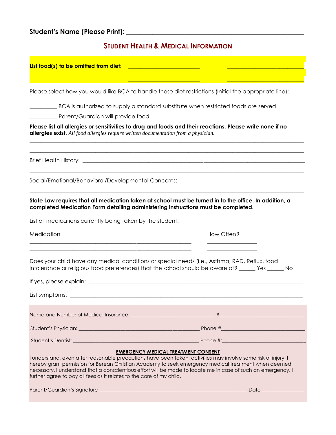## **Student's Name (Please Print): \_\_\_\_\_\_\_\_\_\_\_\_\_\_\_\_\_\_\_\_\_\_\_\_\_\_\_\_\_\_\_\_\_\_\_\_\_\_\_\_\_\_\_\_\_\_\_\_\_\_\_\_\_\_**

## **STUDENT HEALTH & MEDICAL INFORMATION**

### **List food(s) to be omitted from diet: \_\_\_\_\_\_\_\_\_\_\_\_\_\_\_\_\_\_\_\_\_\_\_\_\_\_ \_\_\_\_\_\_\_\_\_\_\_\_\_\_\_\_\_\_\_\_\_\_\_\_\_\_\_\_**

Please select how you would like BCA to handle these diet restrictions (Initial the appropriate line):

BCA is authorized to supply a standard substitute when restricted foods are served.

\_\_\_\_\_\_\_\_\_\_\_\_\_\_\_\_\_\_\_\_\_\_\_\_\_\_\_\_\_\_\_\_\_\_\_\_\_\_\_\_\_\_\_\_\_\_\_\_\_\_\_\_\_\_\_\_\_\_\_\_\_\_\_\_\_\_\_\_\_\_\_\_\_\_\_\_\_\_\_\_\_\_\_\_\_\_\_\_\_\_\_\_\_\_\_\_\_\_\_\_  $\mathcal{L}_\mathcal{L} = \{ \mathcal{L}_\mathcal{L} = \{ \mathcal{L}_\mathcal{L} = \{ \mathcal{L}_\mathcal{L} = \{ \mathcal{L}_\mathcal{L} = \{ \mathcal{L}_\mathcal{L} = \{ \mathcal{L}_\mathcal{L} = \{ \mathcal{L}_\mathcal{L} = \{ \mathcal{L}_\mathcal{L} = \{ \mathcal{L}_\mathcal{L} = \{ \mathcal{L}_\mathcal{L} = \{ \mathcal{L}_\mathcal{L} = \{ \mathcal{L}_\mathcal{L} = \{ \mathcal{L}_\mathcal{L} = \{ \mathcal{L}_\mathcal{$ 

\_\_\_\_\_\_\_\_\_\_\_\_\_\_\_\_\_\_\_\_\_\_\_\_\_\_\_\_\_\_\_\_\_\_\_\_\_\_\_\_\_\_\_\_\_\_\_\_\_\_\_\_\_\_\_\_\_\_\_\_\_\_\_\_\_\_\_\_\_\_\_\_\_\_\_\_\_\_\_\_\_\_\_\_\_\_\_\_\_\_\_\_\_\_\_\_\_\_\_\_

 $\mathcal{L}_\mathcal{L} = \{ \mathcal{L}_\mathcal{L} = \{ \mathcal{L}_\mathcal{L} = \{ \mathcal{L}_\mathcal{L} = \{ \mathcal{L}_\mathcal{L} = \{ \mathcal{L}_\mathcal{L} = \{ \mathcal{L}_\mathcal{L} = \{ \mathcal{L}_\mathcal{L} = \{ \mathcal{L}_\mathcal{L} = \{ \mathcal{L}_\mathcal{L} = \{ \mathcal{L}_\mathcal{L} = \{ \mathcal{L}_\mathcal{L} = \{ \mathcal{L}_\mathcal{L} = \{ \mathcal{L}_\mathcal{L} = \{ \mathcal{L}_\mathcal{$ 

**\_\_\_\_\_\_\_\_\_\_\_\_\_\_\_\_\_\_\_\_\_\_\_\_\_\_ \_\_\_\_\_\_\_\_\_\_\_\_\_\_\_\_\_\_\_\_\_\_\_\_\_\_\_\_**

\_\_\_\_\_\_\_\_\_\_ Parent/Guardian will provide food.

**Please list all allergies or sensitivities to drug and foods and their reactions. Please write none if no allergies exist.** *All food allergies require written documentation from a physician.*

Brief Health History: \_\_\_\_\_\_\_\_\_\_\_\_\_\_\_\_\_\_\_\_\_\_\_\_\_\_\_\_\_\_\_\_\_\_\_\_\_\_\_\_\_\_\_\_\_\_\_\_\_\_\_\_\_\_\_\_\_\_\_\_\_\_\_\_\_\_\_\_\_\_\_\_\_\_\_\_\_\_\_\_\_

Social/Emotional/Behavioral/Developmental Concerns: \_\_\_\_\_\_\_\_\_\_\_\_\_\_\_\_\_\_\_\_\_\_\_\_\_\_\_\_

**State Law requires that all medication taken at school must be turned in to the office. In addition, a completed Medication Form detailing administering instructions must be completed.**

List all medications currently being taken by the student:

Medication **How Often?** 

Does your child have any medical conditions or special needs (i.e., Asthma, RAD, Reflux, food intolerance or religious food preferences) that the school should be aware of? \_\_\_\_\_\_ Yes \_\_\_\_\_\_ No

\_\_\_\_\_\_\_\_\_\_\_\_\_\_\_\_\_\_\_\_\_\_\_\_\_\_\_\_\_\_\_\_\_\_\_\_\_\_\_\_\_\_\_\_\_\_\_\_\_\_\_\_\_\_\_\_\_\_\_ \_\_\_\_\_\_\_\_\_\_\_\_\_\_\_\_\_\_ \_\_\_\_\_\_\_\_\_\_\_\_\_\_\_\_\_\_\_\_\_\_\_\_\_\_\_\_\_\_\_\_\_\_\_\_\_\_\_\_\_\_\_\_\_\_\_\_\_\_\_\_\_\_\_\_\_\_\_ \_\_\_\_\_\_\_\_\_\_\_\_\_\_\_\_\_\_

| Name and Number of Medical Insurance: the state of the state of the state of the state of the state of the state of the state of the state of the state of the state of the state of the state of the state of the state of th |                                                                                                                                                                                                                                |  |
|--------------------------------------------------------------------------------------------------------------------------------------------------------------------------------------------------------------------------------|--------------------------------------------------------------------------------------------------------------------------------------------------------------------------------------------------------------------------------|--|
|                                                                                                                                                                                                                                | Phone # 2008 Phone # 2008 Phone # 2008 Phone # 2008 Phone 2008 Phone 2008 Phone 2008 Phone 2008 Phone 2008 Phone 2008 Phone 2008 Phone 2008 Phone 2008 Phone 2008 Phone 2008 Phone 2008 Phone 2008 Phone 2008 Phone 2008 Phone |  |
|                                                                                                                                                                                                                                |                                                                                                                                                                                                                                |  |

### **EMERGENCY MEDICAL TREATMENT CONSENT**

I understand, even after reasonable precautions have been taken, activities may involve some risk of injury. I hereby grant permission for Berean Christian Academy to seek emergency medical treatment when deemed necessary. I understand that a conscientious effort will be made to locate me in case of such an emergency. I further agree to pay all fees as it relates to the care of my child.

Parent/Guardian's Signature \_\_\_\_\_\_\_\_\_\_\_\_\_\_\_\_\_\_\_\_\_\_\_\_\_\_\_\_\_\_\_\_\_\_\_\_\_\_\_\_\_\_\_\_\_\_\_\_\_\_\_\_\_\_\_\_\_\_\_\_ Date \_\_\_\_\_\_\_\_\_\_\_\_\_\_\_\_\_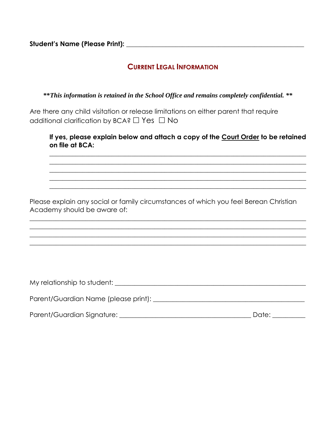**Student's Name (Please Print): \_\_\_\_\_\_\_\_\_\_\_\_\_\_\_\_\_\_\_\_\_\_\_\_\_\_\_\_\_\_\_\_\_\_\_\_\_\_\_\_\_\_\_\_\_\_\_\_\_\_\_\_\_\_**

## **CURRENT LEGAL INFORMATION**

**\*\****This information is retained in the School Office and remains completely confidential. \*\**

Are there any child visitation or release limitations on either parent that require additional clarification by BCA?  $\Box$  Yes  $\Box$  No

**If yes, please explain below and attach a copy of the Court Order to be retained on file at BCA:**

 $\_$  , and the set of the set of the set of the set of the set of the set of the set of the set of the set of the set of the set of the set of the set of the set of the set of the set of the set of the set of the set of th  $\_$  , and the set of the set of the set of the set of the set of the set of the set of the set of the set of the set of the set of the set of the set of the set of the set of the set of the set of the set of the set of th  $\_$  , and the set of the set of the set of the set of the set of the set of the set of the set of the set of the set of the set of the set of the set of the set of the set of the set of the set of the set of the set of th  $\_$  , and the set of the set of the set of the set of the set of the set of the set of the set of the set of the set of the set of the set of the set of the set of the set of the set of the set of the set of the set of th  $\_$  , and the set of the set of the set of the set of the set of the set of the set of the set of the set of the set of the set of the set of the set of the set of the set of the set of the set of the set of the set of th

Please explain any social or family circumstances of which you feel Berean Christian Academy should be aware of:

 $\_$  , and the set of the set of the set of the set of the set of the set of the set of the set of the set of the set of the set of the set of the set of the set of the set of the set of the set of the set of the set of th  $\_$  , and the set of the set of the set of the set of the set of the set of the set of the set of the set of the set of the set of the set of the set of the set of the set of the set of the set of the set of the set of th  $\_$  , and the set of the set of the set of the set of the set of the set of the set of the set of the set of the set of the set of the set of the set of the set of the set of the set of the set of the set of the set of th  $\_$  , and the set of the set of the set of the set of the set of the set of the set of the set of the set of the set of the set of the set of the set of the set of the set of the set of the set of the set of the set of th

| My relationship to student:          |
|--------------------------------------|
|                                      |
| Parent/Guardian Name (please print): |
|                                      |
|                                      |

| Parent/Guardian Signature: | Date: |
|----------------------------|-------|
|                            |       |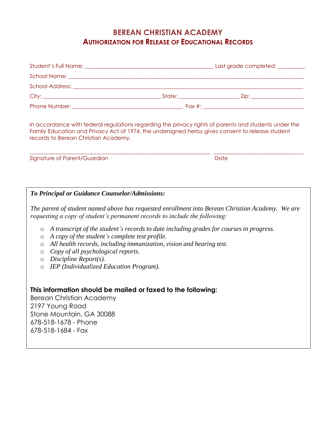## **BEREAN CHRISTIAN ACADEMY AUTHORIZATION FOR RELEASE OF EDUCATIONAL RECORDS**

|  | Last grade completed: _________ |
|--|---------------------------------|
|  |                                 |
|  |                                 |
|  |                                 |
|  |                                 |

In accordance with federal regulations regarding the privacy rights of parents and students under the Family Education and Privacy Act of 1974, the undersigned herby gives consent to release student records to Berean Christian Academy.

\_\_\_\_\_\_\_\_\_\_\_\_\_\_\_\_\_\_\_\_\_\_\_\_\_\_\_\_\_\_\_\_\_\_\_\_\_\_\_\_\_\_\_\_\_\_\_\_\_\_\_\_\_\_\_\_\_\_\_\_\_\_\_\_\_\_ \_\_\_\_\_\_\_\_\_\_\_\_\_\_\_\_\_\_\_\_\_\_\_\_\_\_\_\_\_\_\_\_\_

Signature of Parent/Guardian and Date Date Date Date

## *To Principal or Guidance Counselor/Admissions:*

*The parent of student named above has requested enrollment into Berean Christian Academy. We are requesting a copy of student's permanent records to include the following:*

- o *A transcript of the student's records to date including grades for courses in progress.*
- o *A copy of the student's complete test profile.*
- o *All health records, including immunization, vision and hearing test.*
- o *Copy of all psychological reports.*
- o *Discipline Report(s).*
- o *IEP (Individualized Education Program).*

## **This information should be mailed or faxed to the following:**

Berean Christian Academy 2197 Young Road Stone Mountain, GA 30088 678-518-1678 - Phone 678-518-1684 - Fax